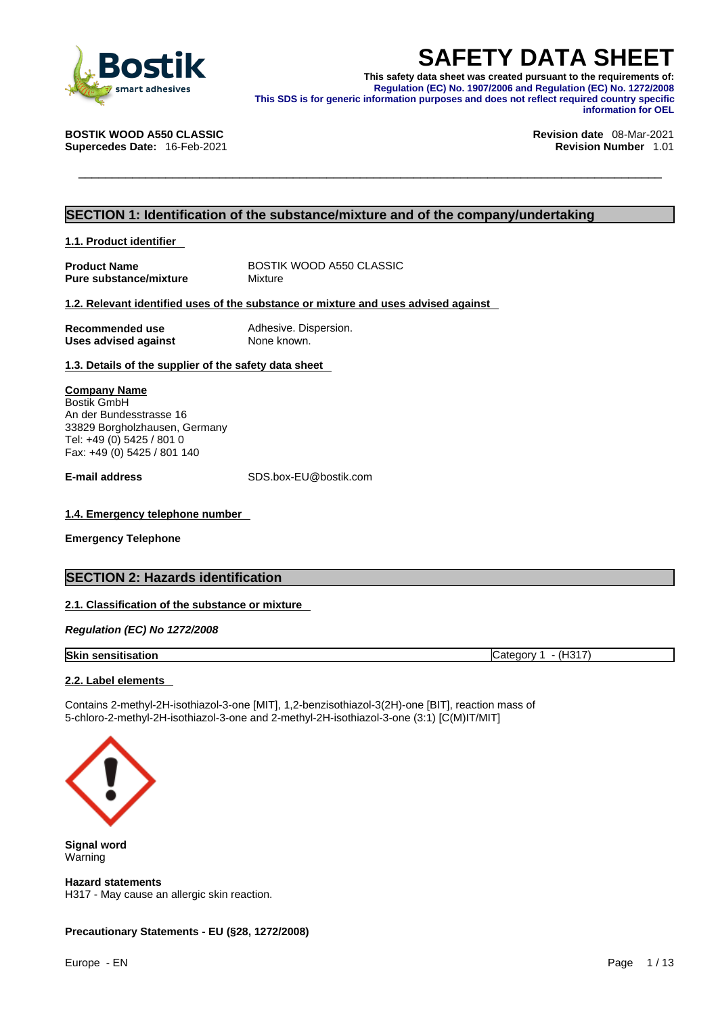

**SAFETY DATA SHEET**<br>
This safety data sheet was created pursuant to the requirements of:<br>
Requlation (EC) No. 1907/2006 and Regulation (EC) No. 1272/2008<br>
This SDS is for generic information purposes and does not reflect r **This safety data sheet was created pursuant to the requirements of: Regulation (EC) No. 1907/2006 and Regulation (EC) No. 1272/2008 This SDS is for generic information purposes and does not reflect required country specific information for OEL** 

**Supercedes Date: 16-Feb-2021** 

**BOSTIK WOOD A550 CLASSIC Revision date** 08-Mar-2021

### **SECTION 1: Identification of the substance/mixture and of the company/undertaking**

**1.1. Product identifier** 

**Product Name** BOSTIK WOOD A550 CLASSIC<br> **Pure substance/mixture** Mixture Mixture **Pure substance/mixture** 

### **1.2. Relevant identified uses of the substance or mixture and uses advised against**

| Recommended use             | Adhesive. Dispersion. |
|-----------------------------|-----------------------|
| <b>Uses advised against</b> | None known.           |

**1.3. Details of the supplier of the safety data sheet**

**Company Name** Bostik GmbH An der Bundesstrasse 16 33829 Borgholzhausen, Germany Tel: +49 (0) 5425 / 801 0 Fax: +49 (0) 5425 / 801 140

**E-mail address** SDS.box-EU@bostik.com

### **1.4. Emergency telephone number**

**Emergency Telephone**

### **SECTION 2: Hazards identification**

### **2.1. Classification of the substance or mixture**

*Regulation (EC) No 1272/2008* 

| <b>Skin</b><br>. sensitisation | $\sim$<br>.10N<br>.ate<br>- 12 |
|--------------------------------|--------------------------------|
|--------------------------------|--------------------------------|

### **2.2. Label elements**

Contains 2-methyl-2H-isothiazol-3-one [MIT], 1,2-benzisothiazol-3(2H)-one [BIT], reaction mass of 5-chloro-2-methyl-2H-isothiazol-3-one and 2-methyl-2H-isothiazol-3-one (3:1) [C(M)IT/MIT]



**Signal word** Warning

**Hazard statements** H317 - May cause an allergic skin reaction.

### **Precautionary Statements - EU (§28, 1272/2008)**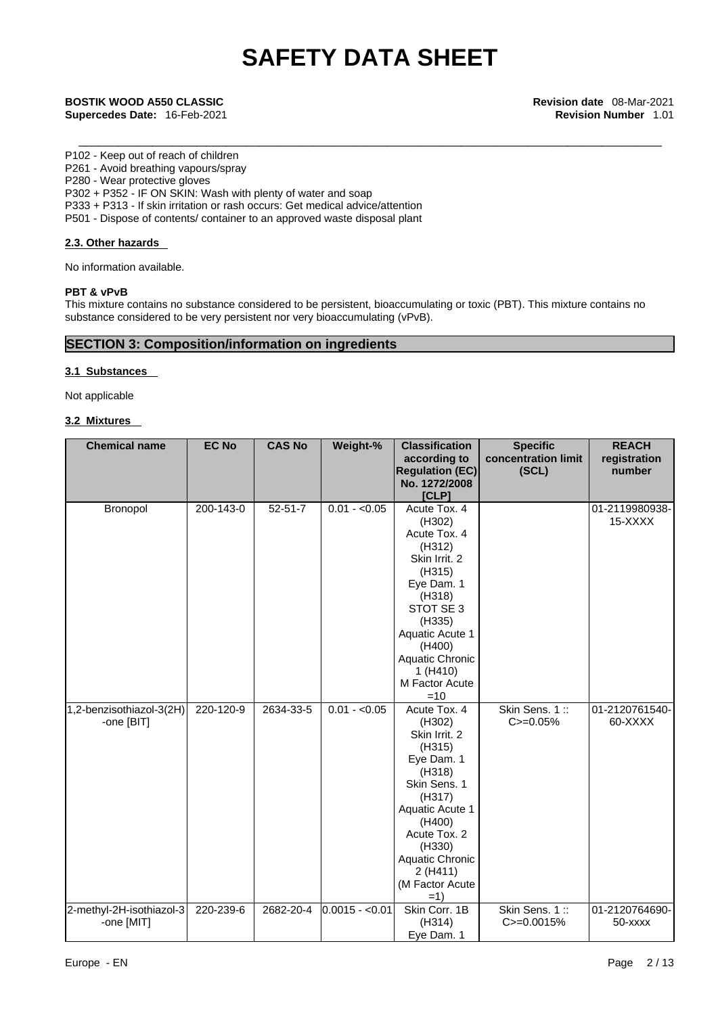\_\_\_\_\_\_\_\_\_\_\_\_\_\_\_\_\_\_\_\_\_\_\_\_\_\_\_\_\_\_\_\_\_\_\_\_\_\_\_\_\_\_\_\_\_\_\_\_\_\_\_\_\_\_\_\_\_\_\_\_\_\_\_\_\_\_\_\_\_\_\_\_\_\_\_\_\_\_\_\_\_\_\_\_\_\_\_ **BOSTIK WOOD A550 CLASSIC Revision date** 08-Mar-2021 **Supercedes Date:** 16-Feb-2021 **Revision Number** 1.01

P102 - Keep out of reach of children

P261 - Avoid breathing vapours/spray

P280 - Wear protective gloves

P302 + P352 - IF ON SKIN: Wash with plenty of water and soap

P333 + P313 - If skin irritation or rash occurs: Get medical advice/attention

P501 - Dispose of contents/ container to an approved waste disposal plant

### **2.3. Other hazards**

No information available.

### **PBT & vPvB**

This mixture contains no substance considered to be persistent, bioaccumulating or toxic (PBT). This mixture contains no substance considered to be very persistent nor very bioaccumulating (vPvB).

### **SECTION 3: Composition/information on ingredients**

### **3.1 Substances**

Not applicable

### **3.2 Mixtures**

| <b>Chemical name</b>     | <b>EC No</b> | <b>CAS No</b> | Weight-%        | <b>Classification</b>  | <b>Specific</b>     | <b>REACH</b>   |
|--------------------------|--------------|---------------|-----------------|------------------------|---------------------|----------------|
|                          |              |               |                 | according to           | concentration limit | registration   |
|                          |              |               |                 | <b>Regulation (EC)</b> | (SCL)               | number         |
|                          |              |               |                 | No. 1272/2008          |                     |                |
|                          |              |               |                 | [CLP]                  |                     |                |
| Bronopol                 | 200-143-0    | $52 - 51 - 7$ | $0.01 - 0.05$   | Acute Tox. 4           |                     | 01-2119980938- |
|                          |              |               |                 | (H302)                 |                     | 15-XXXX        |
|                          |              |               |                 | Acute Tox. 4           |                     |                |
|                          |              |               |                 | (H312)                 |                     |                |
|                          |              |               |                 | Skin Irrit. 2          |                     |                |
|                          |              |               |                 | (H315)                 |                     |                |
|                          |              |               |                 | Eye Dam. 1             |                     |                |
|                          |              |               |                 | (H318)                 |                     |                |
|                          |              |               |                 | STOT SE 3              |                     |                |
|                          |              |               |                 | (H335)                 |                     |                |
|                          |              |               |                 | Aquatic Acute 1        |                     |                |
|                          |              |               |                 | (H400)                 |                     |                |
|                          |              |               |                 | Aquatic Chronic        |                     |                |
|                          |              |               |                 | 1(H410)                |                     |                |
|                          |              |               |                 | M Factor Acute         |                     |                |
|                          |              |               |                 | $=10$                  |                     |                |
| 1,2-benzisothiazol-3(2H) | 220-120-9    | 2634-33-5     | $0.01 - 0.05$   | Acute Tox. 4           | Skin Sens. 1::      | 01-2120761540- |
| -one [BIT]               |              |               |                 | (H302)                 | $C = 0.05%$         | 60-XXXX        |
|                          |              |               |                 | Skin Irrit. 2          |                     |                |
|                          |              |               |                 | (H315)                 |                     |                |
|                          |              |               |                 | Eye Dam. 1             |                     |                |
|                          |              |               |                 | (H318)                 |                     |                |
|                          |              |               |                 | Skin Sens. 1           |                     |                |
|                          |              |               |                 | (H317)                 |                     |                |
|                          |              |               |                 | Aquatic Acute 1        |                     |                |
|                          |              |               |                 | (H400)<br>Acute Tox. 2 |                     |                |
|                          |              |               |                 | (H330)                 |                     |                |
|                          |              |               |                 | Aquatic Chronic        |                     |                |
|                          |              |               |                 | 2 (H411)               |                     |                |
|                          |              |               |                 | (M Factor Acute        |                     |                |
|                          |              |               |                 | $=1$                   |                     |                |
| 2-methyl-2H-isothiazol-3 | 220-239-6    | 2682-20-4     | $0.0015 - 0.01$ | Skin Corr. 1B          | Skin Sens. 1::      | 01-2120764690- |
| -one [MIT]               |              |               |                 | (H314)                 | C>=0.0015%          | 50-xxxx        |
|                          |              |               |                 | Eye Dam. 1             |                     |                |
|                          |              |               |                 |                        |                     |                |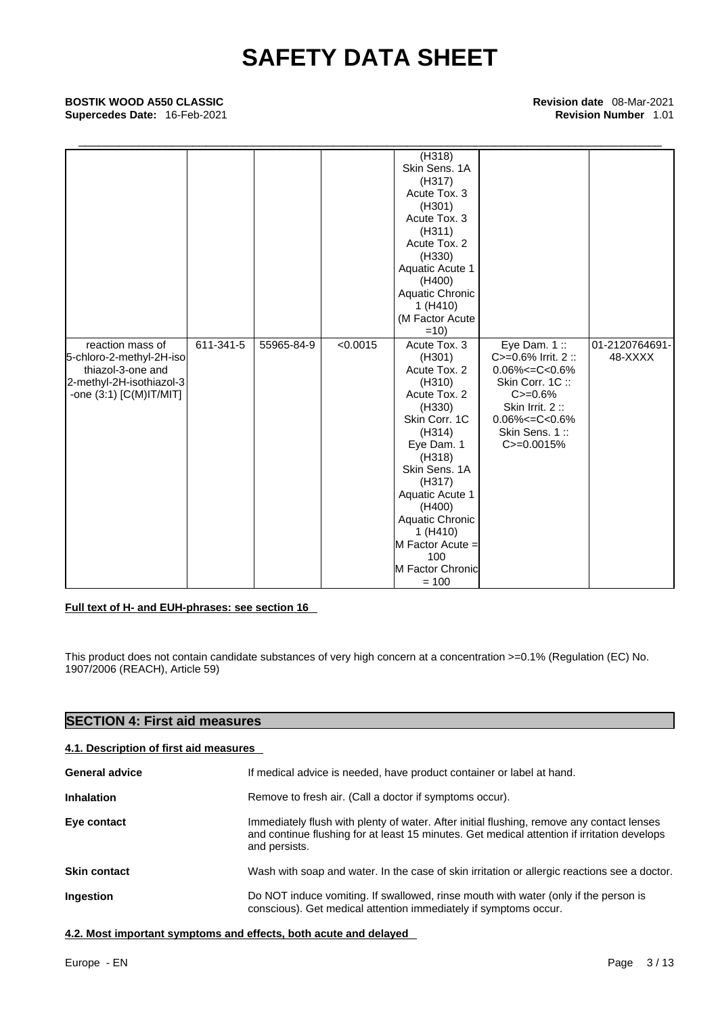## \_\_\_\_\_\_\_\_\_\_\_\_\_\_\_\_\_\_\_\_\_\_\_\_\_\_\_\_\_\_\_\_\_\_\_\_\_\_\_\_\_\_\_\_\_\_\_\_\_\_\_\_\_\_\_\_\_\_\_\_\_\_\_\_\_\_\_\_\_\_\_\_\_\_\_\_\_\_\_\_\_\_\_\_\_\_\_ **BOSTIK WOOD A550 CLASSIC Revision date** 08-Mar-2021 **Supercedes Date:** 16-Feb-2021 **Revision Number** 1.01

|                          |           |            |          | (H318)           |                         |                |
|--------------------------|-----------|------------|----------|------------------|-------------------------|----------------|
|                          |           |            |          | Skin Sens. 1A    |                         |                |
|                          |           |            |          | (H317)           |                         |                |
|                          |           |            |          | Acute Tox. 3     |                         |                |
|                          |           |            |          | (H301)           |                         |                |
|                          |           |            |          | Acute Tox, 3     |                         |                |
|                          |           |            |          | (H311)           |                         |                |
|                          |           |            |          | Acute Tox. 2     |                         |                |
|                          |           |            |          | (H330)           |                         |                |
|                          |           |            |          | Aquatic Acute 1  |                         |                |
|                          |           |            |          | (H400)           |                         |                |
|                          |           |            |          | Aquatic Chronic  |                         |                |
|                          |           |            |          | 1(H410)          |                         |                |
|                          |           |            |          | (M Factor Acute  |                         |                |
|                          |           |            |          | $=10$            |                         |                |
| reaction mass of         | 611-341-5 | 55965-84-9 | < 0.0015 | Acute Tox. 3     | Eye Dam. $1::$          | 01-2120764691- |
| 5-chloro-2-methyl-2H-iso |           |            |          | (H301)           | $C = 0.6\%$ Irrit. 2 :: | 48-XXXX        |
| thiazol-3-one and        |           |            |          | Acute Tox. 2     | $0.06\% < = C < 0.6\%$  |                |
| 2-methyl-2H-isothiazol-3 |           |            |          | (H310)           | Skin Corr. 1C:          |                |
| -one (3:1) [C(M)IT/MIT]  |           |            |          | Acute Tox. 2     | $C = 0.6%$              |                |
|                          |           |            |          | (H330)           | Skin Irrit. 2:          |                |
|                          |           |            |          | Skin Corr. 1C    | $0.06\% < = C < 0.6\%$  |                |
|                          |           |            |          | (H314)           | Skin Sens. 1:           |                |
|                          |           |            |          | Eye Dam. 1       | C>=0.0015%              |                |
|                          |           |            |          | (H318)           |                         |                |
|                          |           |            |          | Skin Sens. 1A    |                         |                |
|                          |           |            |          | (H317)           |                         |                |
|                          |           |            |          | Aquatic Acute 1  |                         |                |
|                          |           |            |          | (H400)           |                         |                |
|                          |           |            |          | Aquatic Chronic  |                         |                |
|                          |           |            |          | 1 (H410)         |                         |                |
|                          |           |            |          | M Factor Acute = |                         |                |
|                          |           |            |          | 100              |                         |                |
|                          |           |            |          | M Factor Chronic |                         |                |
|                          |           |            |          | $= 100$          |                         |                |

### **Full text of H- and EUH-phrases: see section 16**

This product does not contain candidate substances of very high concern at a concentration >=0.1% (Regulation (EC) No. 1907/2006 (REACH), Article 59)

### **SECTION 4: First aid measures**

### **4.1. Description of first aid measures**

| <b>General advice</b> | If medical advice is needed, have product container or label at hand.                                                                                                                                     |
|-----------------------|-----------------------------------------------------------------------------------------------------------------------------------------------------------------------------------------------------------|
| <b>Inhalation</b>     | Remove to fresh air. (Call a doctor if symptoms occur).                                                                                                                                                   |
| Eye contact           | Immediately flush with plenty of water. After initial flushing, remove any contact lenses<br>and continue flushing for at least 15 minutes. Get medical attention if irritation develops<br>and persists. |
| <b>Skin contact</b>   | Wash with soap and water. In the case of skin irritation or allergic reactions see a doctor.                                                                                                              |
| <b>Ingestion</b>      | Do NOT induce vomiting. If swallowed, rinse mouth with water (only if the person is<br>conscious). Get medical attention immediately if symptoms occur.                                                   |

**4.2. Most important symptoms and effects, both acute and delayed**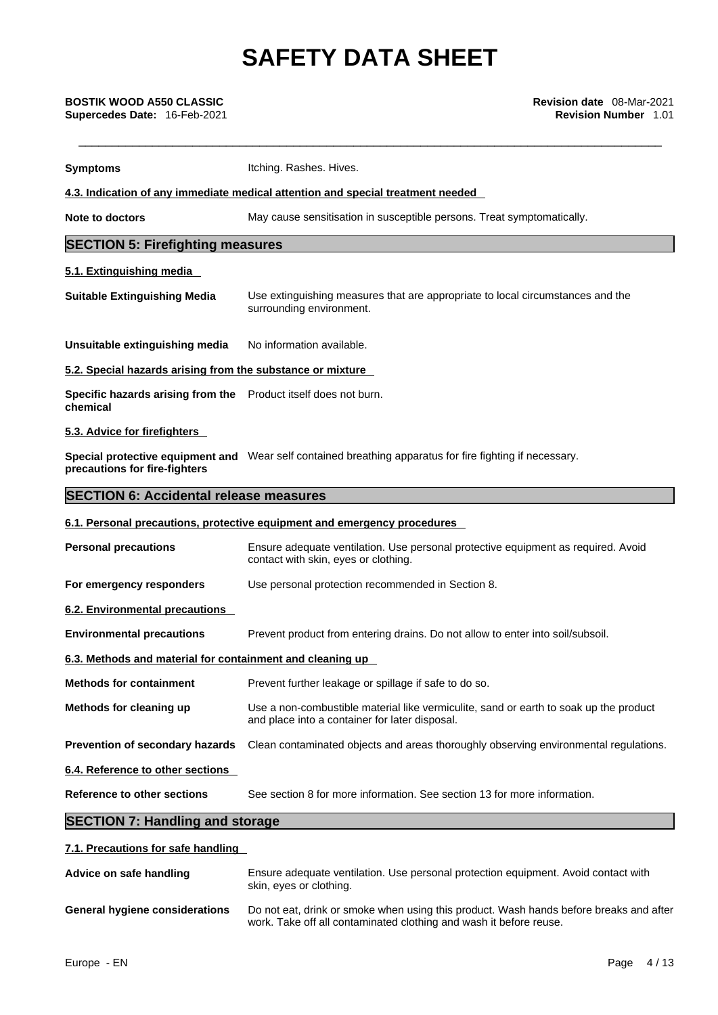| <b>Symptoms</b>                                                             | Itching. Rashes. Hives.                                                                                                                                      |
|-----------------------------------------------------------------------------|--------------------------------------------------------------------------------------------------------------------------------------------------------------|
|                                                                             | 4.3. Indication of any immediate medical attention and special treatment needed                                                                              |
| Note to doctors                                                             | May cause sensitisation in susceptible persons. Treat symptomatically.                                                                                       |
| <b>SECTION 5: Firefighting measures</b>                                     |                                                                                                                                                              |
| 5.1. Extinguishing media                                                    |                                                                                                                                                              |
| <b>Suitable Extinguishing Media</b>                                         | Use extinguishing measures that are appropriate to local circumstances and the<br>surrounding environment.                                                   |
| Unsuitable extinguishing media                                              | No information available.                                                                                                                                    |
| 5.2. Special hazards arising from the substance or mixture                  |                                                                                                                                                              |
| Specific hazards arising from the Product itself does not burn.<br>chemical |                                                                                                                                                              |
| 5.3. Advice for firefighters                                                |                                                                                                                                                              |
| precautions for fire-fighters                                               | Special protective equipment and Wear self contained breathing apparatus for fire fighting if necessary.                                                     |
| <b>SECTION 6: Accidental release measures</b>                               |                                                                                                                                                              |
|                                                                             | 6.1. Personal precautions, protective equipment and emergency procedures                                                                                     |
| <b>Personal precautions</b>                                                 | Ensure adequate ventilation. Use personal protective equipment as required. Avoid<br>contact with skin, eyes or clothing.                                    |
| For emergency responders                                                    | Use personal protection recommended in Section 8.                                                                                                            |
| <b>6.2. Environmental precautions</b>                                       |                                                                                                                                                              |
| <b>Environmental precautions</b>                                            | Prevent product from entering drains. Do not allow to enter into soil/subsoil.                                                                               |
| 6.3. Methods and material for containment and cleaning up                   |                                                                                                                                                              |
| <b>Methods for containment</b>                                              | Prevent further leakage or spillage if safe to do so.                                                                                                        |
| Methods for cleaning up                                                     | Use a non-combustible material like vermiculite, sand or earth to soak up the product<br>and place into a container for later disposal.                      |
| Prevention of secondary hazards                                             | Clean contaminated objects and areas thoroughly observing environmental regulations.                                                                         |
| 6.4. Reference to other sections                                            |                                                                                                                                                              |
| <b>Reference to other sections</b>                                          | See section 8 for more information. See section 13 for more information.                                                                                     |
| <b>SECTION 7: Handling and storage</b>                                      |                                                                                                                                                              |
| 7.1. Precautions for safe handling                                          |                                                                                                                                                              |
| Advice on safe handling                                                     | Ensure adequate ventilation. Use personal protection equipment. Avoid contact with<br>skin, eyes or clothing.                                                |
| <b>General hygiene considerations</b>                                       | Do not eat, drink or smoke when using this product. Wash hands before breaks and after<br>work. Take off all contaminated clothing and wash it before reuse. |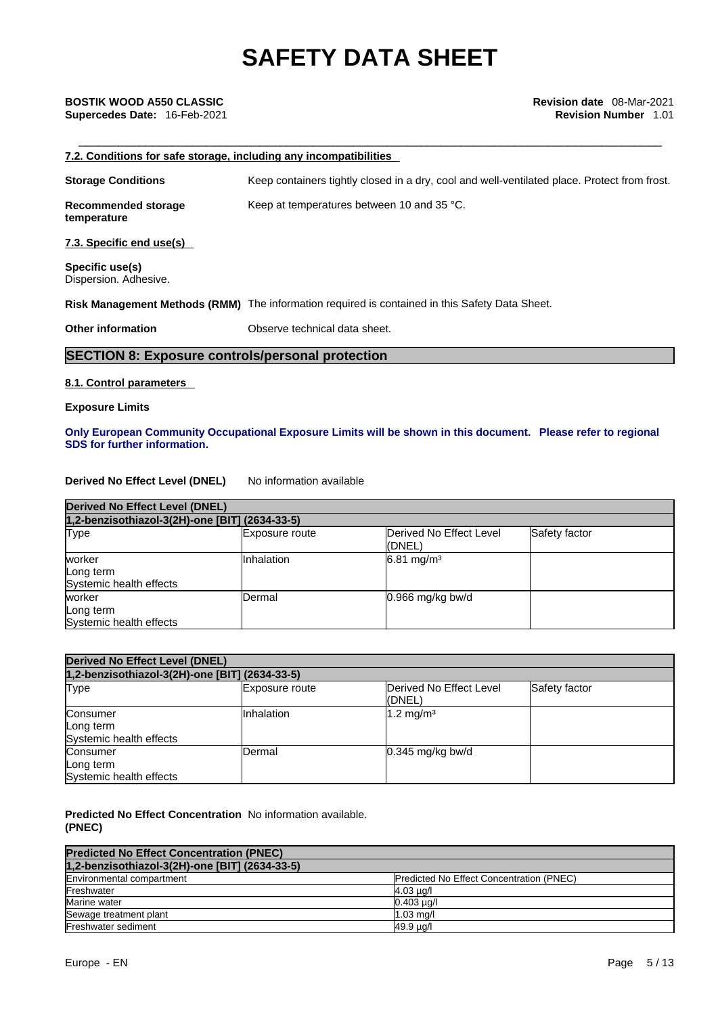## **Supercedes Date:** 16-Feb-2021 **Revision Number** 1.01

## \_\_\_\_\_\_\_\_\_\_\_\_\_\_\_\_\_\_\_\_\_\_\_\_\_\_\_\_\_\_\_\_\_\_\_\_\_\_\_\_\_\_\_\_\_\_\_\_\_\_\_\_\_\_\_\_\_\_\_\_\_\_\_\_\_\_\_\_\_\_\_\_\_\_\_\_\_\_\_\_\_\_\_\_\_\_\_ **BOSTIK WOOD A550 CLASSIC Revision date** 08-Mar-2021 **7.2. Conditions for safe storage, including any incompatibilities Storage Conditions** Keep containers tightly closed in a dry, cool and well-ventilated place. Protect from frost. **Recommended storage temperature** Keep at temperatures between 10 and 35 °C. **7.3. Specific end use(s) Specific use(s)** Dispersion. Adhesive.

**Risk Management Methods (RMM)** The information required is contained in this Safety Data Sheet.

**Other information** Observe technical data sheet.

### **SECTION 8: Exposure controls/personal protection**

### **8.1. Control parameters**

### **Exposure Limits**

### **Only European Community Occupational Exposure Limits will be shown in this document. Please refer to regional SDS for further information.**

### **Derived No Effect Level (DNEL)** No information available

| <b>Derived No Effect Level (DNEL)</b>          |                       |                                            |               |  |
|------------------------------------------------|-----------------------|--------------------------------------------|---------------|--|
| 1,2-benzisothiazol-3(2H)-one [BIT] (2634-33-5) |                       |                                            |               |  |
| Type                                           | <b>Exposure route</b> | <b>IDerived No Effect Level</b><br>l(DNEL) | Safety factor |  |
| worker<br>Long term<br>Systemic health effects | <b>Inhalation</b>     | $6.81 \text{ mg/m}^3$                      |               |  |
| worker<br>Long term<br>Systemic health effects | Dermal                | $0.966$ mg/kg bw/d                         |               |  |

| <b>Derived No Effect Level (DNEL)</b>            |                   |                                    |               |
|--------------------------------------------------|-------------------|------------------------------------|---------------|
| 1,2-benzisothiazol-3(2H)-one [BIT] (2634-33-5)   |                   |                                    |               |
| Type                                             | Exposure route    | Derived No Effect Level<br>l(DNEL) | Safety factor |
| Consumer<br>Long term<br>Systemic health effects | <b>Inhalation</b> | $1.2 \text{ mg/m}^3$               |               |
| Consumer<br>Long term<br>Systemic health effects | Dermal            | $0.345$ mg/kg bw/d                 |               |

**Predicted No Effect Concentration** No information available. **(PNEC)** 

| <b>Predicted No Effect Concentration (PNEC)</b> |                                          |
|-------------------------------------------------|------------------------------------------|
| 1,2-benzisothiazol-3(2H)-one [BIT] (2634-33-5)  |                                          |
| Environmental compartment                       | Predicted No Effect Concentration (PNEC) |
| Freshwater                                      | $4.03 \mu q/l$                           |
| Marine water                                    | $0.403 \mu q/l$                          |
| Sewage treatment plant                          | $1.03$ mg/                               |
| Freshwater sediment                             | 49.9 ug/l                                |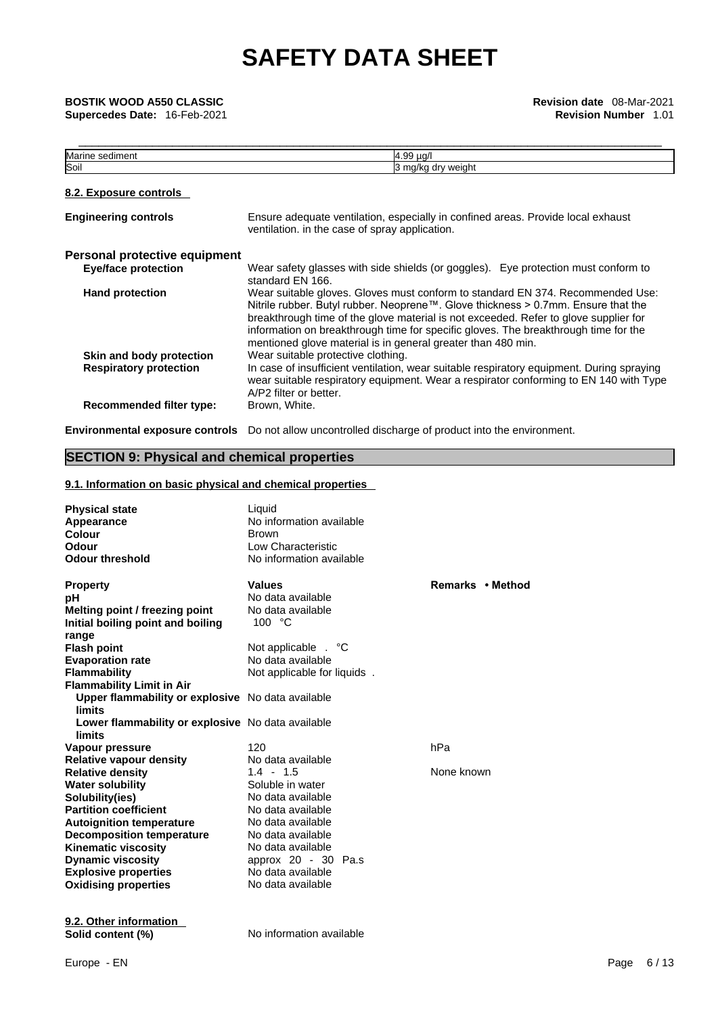| Marine sediment                                           | 4.99 µg/l                                                                                                                                                                                                                                                                                                                                                                                                          |
|-----------------------------------------------------------|--------------------------------------------------------------------------------------------------------------------------------------------------------------------------------------------------------------------------------------------------------------------------------------------------------------------------------------------------------------------------------------------------------------------|
| Soil                                                      | 3 mg/kg dry weight                                                                                                                                                                                                                                                                                                                                                                                                 |
| 8.2. Exposure controls                                    |                                                                                                                                                                                                                                                                                                                                                                                                                    |
| <b>Engineering controls</b>                               | Ensure adequate ventilation, especially in confined areas. Provide local exhaust<br>ventilation. in the case of spray application.                                                                                                                                                                                                                                                                                 |
| Personal protective equipment                             |                                                                                                                                                                                                                                                                                                                                                                                                                    |
| <b>Eye/face protection</b>                                | Wear safety glasses with side shields (or goggles). Eye protection must conform to<br>standard EN 166.                                                                                                                                                                                                                                                                                                             |
| <b>Hand protection</b>                                    | Wear suitable gloves. Gloves must conform to standard EN 374. Recommended Use:<br>Nitrile rubber. Butyl rubber. Neoprene™. Glove thickness > 0.7mm. Ensure that the<br>breakthrough time of the glove material is not exceeded. Refer to glove supplier for<br>information on breakthrough time for specific gloves. The breakthrough time for the<br>mentioned glove material is in general greater than 480 min. |
| Skin and body protection<br><b>Respiratory protection</b> | Wear suitable protective clothing.<br>In case of insufficient ventilation, wear suitable respiratory equipment. During spraying<br>wear suitable respiratory equipment. Wear a respirator conforming to EN 140 with Type<br>A/P2 filter or better.                                                                                                                                                                 |
| Recommended filter type:                                  | Brown, White.                                                                                                                                                                                                                                                                                                                                                                                                      |

**Environmental exposure controls** Do not allow uncontrolled discharge of product into the environment.

### **SECTION 9: Physical and chemical properties**

### **9.1. Information on basic physical and chemical properties**

| <b>Physical state</b><br>Appearance<br>Colour<br>Odour<br><b>Odour threshold</b> | Liquid<br>No information available<br><b>Brown</b><br>Low Characteristic<br>No information available |                  |
|----------------------------------------------------------------------------------|------------------------------------------------------------------------------------------------------|------------------|
| <b>Property</b>                                                                  | <b>Values</b>                                                                                        | Remarks • Method |
| рH                                                                               | No data available                                                                                    |                  |
| Melting point / freezing point                                                   | No data available                                                                                    |                  |
| Initial boiling point and boiling                                                | 100 °C                                                                                               |                  |
| range                                                                            |                                                                                                      |                  |
| <b>Flash point</b>                                                               | Not applicable . °C                                                                                  |                  |
| <b>Evaporation rate</b>                                                          | No data available                                                                                    |                  |
| <b>Flammability</b>                                                              | Not applicable for liquids.                                                                          |                  |
| <b>Flammability Limit in Air</b>                                                 |                                                                                                      |                  |
| Upper flammability or explosive No data available                                |                                                                                                      |                  |
| <b>limits</b>                                                                    |                                                                                                      |                  |
| Lower flammability or explosive No data available<br>limits                      |                                                                                                      |                  |
| Vapour pressure                                                                  | 120                                                                                                  | hPa              |
| <b>Relative vapour density</b>                                                   | No data available                                                                                    |                  |
| <b>Relative density</b>                                                          | $1.4 - 1.5$                                                                                          | None known       |
| <b>Water solubility</b>                                                          | Soluble in water                                                                                     |                  |
| Solubility(ies)                                                                  | No data available                                                                                    |                  |
| <b>Partition coefficient</b>                                                     | No data available                                                                                    |                  |
| <b>Autoignition temperature</b>                                                  | No data available                                                                                    |                  |
| <b>Decomposition temperature</b>                                                 | No data available                                                                                    |                  |
| <b>Kinematic viscosity</b>                                                       | No data available                                                                                    |                  |
| <b>Dynamic viscosity</b>                                                         | approx 20 - 30 Pa.s                                                                                  |                  |
| <b>Explosive properties</b>                                                      | No data available                                                                                    |                  |
| <b>Oxidising properties</b>                                                      | No data available                                                                                    |                  |
| 9.2. Other information                                                           |                                                                                                      |                  |
| Solid content (%)                                                                | No information available                                                                             |                  |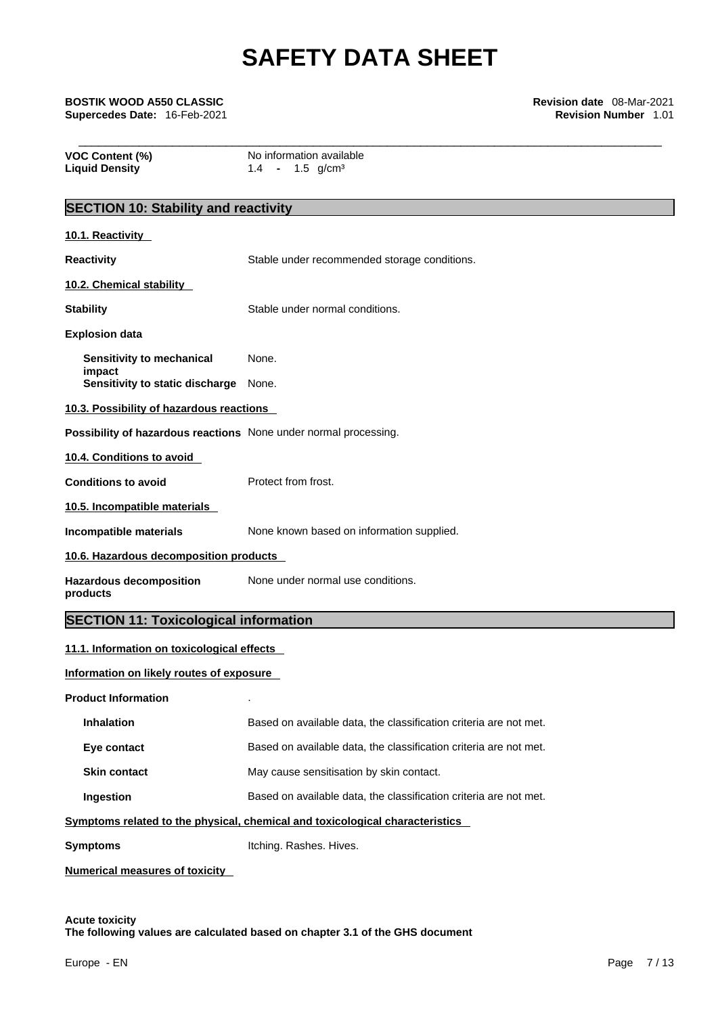| BOSTIK WOOD A550 CLASSIC<br>Supercedes Date: 16-Feb-2021         |                                                                              | <b>Revision date</b> 08-Mar-2021<br><b>Revision Number 1.01</b> |
|------------------------------------------------------------------|------------------------------------------------------------------------------|-----------------------------------------------------------------|
| VOC Content (%)<br><b>Liquid Density</b>                         | No information available<br>$1.4 - 1.5$ g/cm <sup>3</sup>                    |                                                                 |
| <b>SECTION 10: Stability and reactivity</b>                      |                                                                              |                                                                 |
| 10.1. Reactivity                                                 |                                                                              |                                                                 |
| <b>Reactivity</b>                                                | Stable under recommended storage conditions.                                 |                                                                 |
| 10.2. Chemical stability                                         |                                                                              |                                                                 |
| <b>Stability</b>                                                 | Stable under normal conditions.                                              |                                                                 |
| <b>Explosion data</b>                                            |                                                                              |                                                                 |
| Sensitivity to mechanical<br>impact                              | None.                                                                        |                                                                 |
| Sensitivity to static discharge None.                            |                                                                              |                                                                 |
| 10.3. Possibility of hazardous reactions                         |                                                                              |                                                                 |
| Possibility of hazardous reactions None under normal processing. |                                                                              |                                                                 |
| 10.4. Conditions to avoid                                        |                                                                              |                                                                 |
| <b>Conditions to avoid</b>                                       | Protect from frost.                                                          |                                                                 |
| 10.5. Incompatible materials                                     |                                                                              |                                                                 |
| <b>Incompatible materials</b>                                    | None known based on information supplied.                                    |                                                                 |
| 10.6. Hazardous decomposition products                           |                                                                              |                                                                 |
| <b>Hazardous decomposition</b><br>products                       | None under normal use conditions.                                            |                                                                 |
| <b>SECTION 11: Toxicological information</b>                     |                                                                              |                                                                 |
| 11.1. Information on toxicological effects                       |                                                                              |                                                                 |
| Information on likely routes of exposure                         |                                                                              |                                                                 |
| <b>Product Information</b>                                       |                                                                              |                                                                 |
| Inhalation                                                       | Based on available data, the classification criteria are not met.            |                                                                 |
| Eye contact                                                      | Based on available data, the classification criteria are not met.            |                                                                 |
| <b>Skin contact</b>                                              | May cause sensitisation by skin contact.                                     |                                                                 |
| Ingestion                                                        | Based on available data, the classification criteria are not met.            |                                                                 |
|                                                                  | Symptoms related to the physical, chemical and toxicological characteristics |                                                                 |

**Symptoms** Itching. Rashes. Hives.

**Numerical measures of toxicity**

**Acute toxicity The following values are calculated based on chapter 3.1 of the GHS document**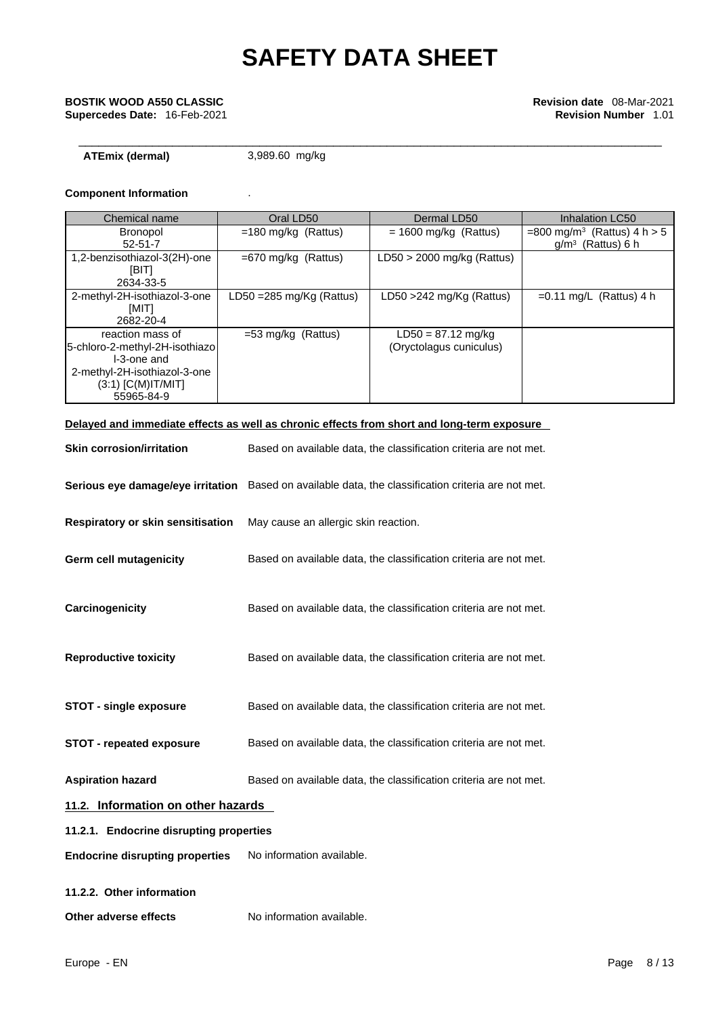## \_\_\_\_\_\_\_\_\_\_\_\_\_\_\_\_\_\_\_\_\_\_\_\_\_\_\_\_\_\_\_\_\_\_\_\_\_\_\_\_\_\_\_\_\_\_\_\_\_\_\_\_\_\_\_\_\_\_\_\_\_\_\_\_\_\_\_\_\_\_\_\_\_\_\_\_\_\_\_\_\_\_\_\_\_\_\_ **BOSTIK WOOD A550 CLASSIC Revision date** 08-Mar-2021 **Supercedes Date:** 16-Feb-2021 **Revision Number** 1.01

**ATEmix (dermal)**3,989.60 mg/kg

### **Component Information** .

| Chemical name                                                                                                                           | Oral LD50                           | Dermal LD50                                     | Inhalation LC50                                                 |
|-----------------------------------------------------------------------------------------------------------------------------------------|-------------------------------------|-------------------------------------------------|-----------------------------------------------------------------|
| <b>Bronopol</b><br>$52 - 51 - 7$                                                                                                        | $=180$ mg/kg (Rattus)               | $= 1600$ mg/kg (Rattus)                         | $= 800 \text{ mg/m}^3$ (Rattus) 4 h > 5<br>$g/m^3$ (Rattus) 6 h |
| 1,2-benzisothiazol-3(2H)-one<br>[BIT]<br>2634-33-5                                                                                      | $=670$ mg/kg (Rattus)               | $LD50 > 2000$ mg/kg (Rattus)                    |                                                                 |
| 2-methyl-2H-isothiazol-3-one<br><b>IMITI</b><br>2682-20-4                                                                               | LD50 = $285 \text{ mg/Kg}$ (Rattus) | LD50 >242 mg/Kg (Rattus)                        | $=0.11$ mg/L (Rattus) 4 h                                       |
| reaction mass of<br>5-chloro-2-methyl-2H-isothiazo<br>I-3-one and<br>2-methyl-2H-isothiazol-3-one<br>$(3:1)$ [C(M)IT/MIT]<br>55965-84-9 | $=$ 53 mg/kg (Rattus)               | $LD50 = 87.12$ mg/kg<br>(Oryctolagus cuniculus) |                                                                 |

### **Delayed and immediate effects as well as chronic effects from short and long-term exposure**

| <b>Skin corrosion/irritation</b>        | Based on available data, the classification criteria are not met.                                   |
|-----------------------------------------|-----------------------------------------------------------------------------------------------------|
|                                         | Serious eye damage/eye irritation Based on available data, the classification criteria are not met. |
| Respiratory or skin sensitisation       | May cause an allergic skin reaction.                                                                |
| Germ cell mutagenicity                  | Based on available data, the classification criteria are not met.                                   |
| Carcinogenicity                         | Based on available data, the classification criteria are not met.                                   |
| <b>Reproductive toxicity</b>            | Based on available data, the classification criteria are not met.                                   |
| STOT - single exposure                  | Based on available data, the classification criteria are not met.                                   |
| <b>STOT - repeated exposure</b>         | Based on available data, the classification criteria are not met.                                   |
| <b>Aspiration hazard</b>                | Based on available data, the classification criteria are not met.                                   |
| 11.2. Information on other hazards      |                                                                                                     |
| 11.2.1. Endocrine disrupting properties |                                                                                                     |
| <b>Endocrine disrupting properties</b>  | No information available.                                                                           |
| 11.2.2. Other information               |                                                                                                     |

**Other adverse effects** No information available.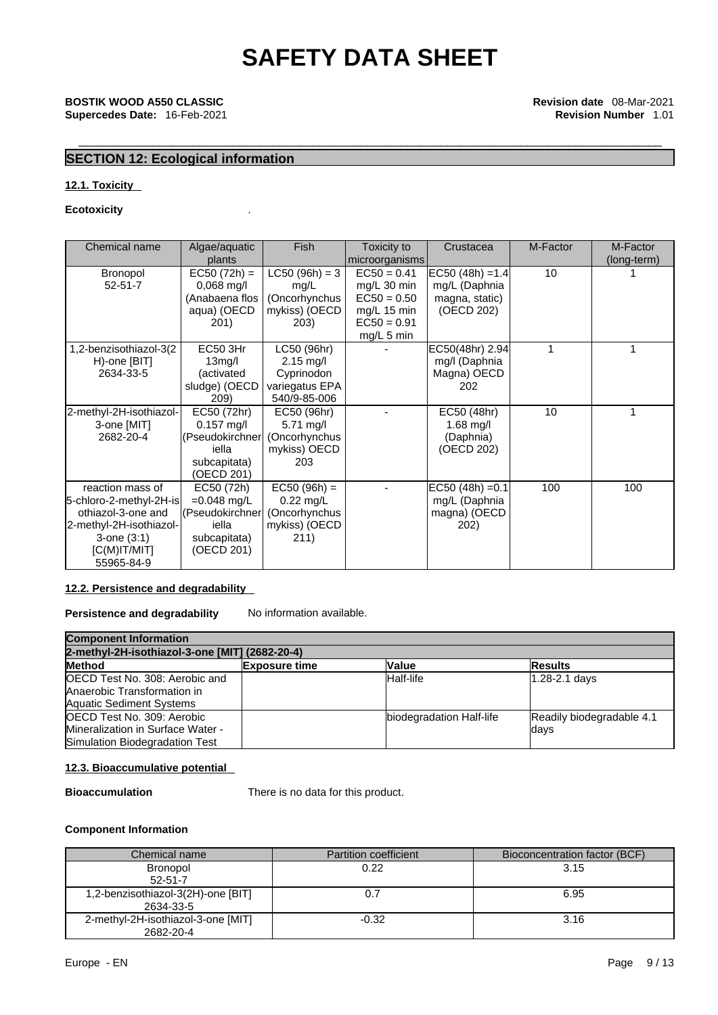## \_\_\_\_\_\_\_\_\_\_\_\_\_\_\_\_\_\_\_\_\_\_\_\_\_\_\_\_\_\_\_\_\_\_\_\_\_\_\_\_\_\_\_\_\_\_\_\_\_\_\_\_\_\_\_\_\_\_\_\_\_\_\_\_\_\_\_\_\_\_\_\_\_\_\_\_\_\_\_\_\_\_\_\_\_\_\_ **BOSTIK WOOD A550 CLASSIC Revision date** 08-Mar-2021 **Supercedes Date:** 16-Feb-2021 **Revision Number** 1.01

### **SECTION 12: Ecological information**

### **12.1. Toxicity**

### **Ecotoxicity** .

| Chemical name                                                                                                                                     | Algae/aquatic<br>plants                                                               | Fish                                                                               | Toxicity to<br>microorganisms                                                               | Crustacea                                                             | M-Factor | M-Factor<br>(long-term) |
|---------------------------------------------------------------------------------------------------------------------------------------------------|---------------------------------------------------------------------------------------|------------------------------------------------------------------------------------|---------------------------------------------------------------------------------------------|-----------------------------------------------------------------------|----------|-------------------------|
| <b>Bronopol</b><br>$52 - 51 - 7$                                                                                                                  | $EC50 (72h) =$<br>$0,068$ mg/l<br>(Anabaena flos<br>aqua) (OECD<br>201)               | $LC50 (96h) = 3$<br>mg/L<br>(Oncorhynchus<br>mykiss) (OECD<br>203)                 | $EC50 = 0.41$<br>mg/L 30 min<br>$EC50 = 0.50$<br>mg/L 15 min<br>$EC50 = 0.91$<br>mg/L 5 min | $ EC50 (48h) = 1.4 $<br>mg/L (Daphnia<br>magna, static)<br>(OECD 202) | 10       |                         |
| 1,2-benzisothiazol-3(2<br>H)-one [BIT]<br>2634-33-5                                                                                               | <b>EC50 3Hr</b><br>13 <sub>mg</sub> /I<br>(activated<br>sludge) (OECD<br>209)         | LC50 (96hr)<br>$2.15 \text{ mg/l}$<br>Cyprinodon<br>variegatus EPA<br>540/9-85-006 |                                                                                             | EC50(48hr) 2.94<br>mg/l (Daphnia<br>Magna) OECD<br>202                |          |                         |
| 2-methyl-2H-isothiazol-<br>3-one [MIT]<br>2682-20-4                                                                                               | EC50 (72hr)<br>$0.157$ mg/l<br>(Pseudokirchner<br>iella<br>subcapitata)<br>(OECD 201) | EC50 (96hr)<br>$5.71$ mg/l<br>(Oncorhynchus<br>mykiss) OECD<br>203                 |                                                                                             | EC50 (48hr)<br>1.68 $mg/l$<br>(Daphnia)<br>(OECD 202)                 | 10       |                         |
| reaction mass of<br>5-chloro-2-methyl-2H-is<br>othiazol-3-one and<br>2-methyl-2H-isothiazol-<br>$3$ -one $(3:1)$<br>$[C(M)$ IT/MIT]<br>55965-84-9 | EC50 (72h)<br>$=0.048$ mg/L<br>(Pseudokirchner<br>iella<br>subcapitata)<br>(OECD 201) | $EC50 (96h) =$<br>$0.22$ mg/L<br>(Oncorhynchus<br>mykiss) (OECD<br>211)            |                                                                                             | $EC50 (48h) = 0.1$<br>mg/L (Daphnia<br>magna) (OECD<br>202)           | 100      | 100                     |

### **12.2. Persistence and degradability**

**Persistence and degradability** No information available.

| <b>Component Information</b>                                                                      |                      |                          |                                   |  |
|---------------------------------------------------------------------------------------------------|----------------------|--------------------------|-----------------------------------|--|
| 2-methyl-2H-isothiazol-3-one [MIT] (2682-20-4)                                                    |                      |                          |                                   |  |
| Method                                                                                            | <b>Exposure time</b> | <b>Value</b>             | <b>Results</b>                    |  |
| OECD Test No. 308: Aerobic and<br>Anaerobic Transformation in<br><b>Aquatic Sediment Systems</b>  |                      | Half-life                | 1.28-2.1 days                     |  |
| OECD Test No. 309: Aerobic<br>Mineralization in Surface Water -<br>Simulation Biodegradation Test |                      | biodegradation Half-life | Readily biodegradable 4.1<br>days |  |

### **12.3. Bioaccumulative potential**

**Bioaccumulation** There is no data for this product.

### **Component Information**

| Chemical name                                   | <b>Partition coefficient</b> | Bioconcentration factor (BCF) |
|-------------------------------------------------|------------------------------|-------------------------------|
| <b>Bronopol</b><br>$52 - 51 - 7$                | 0.22                         | 3.15                          |
| 1,2-benzisothiazol-3(2H)-one [BIT]<br>2634-33-5 |                              | 6.95                          |
| 2-methyl-2H-isothiazol-3-one [MIT]<br>2682-20-4 | $-0.32$                      | 3.16                          |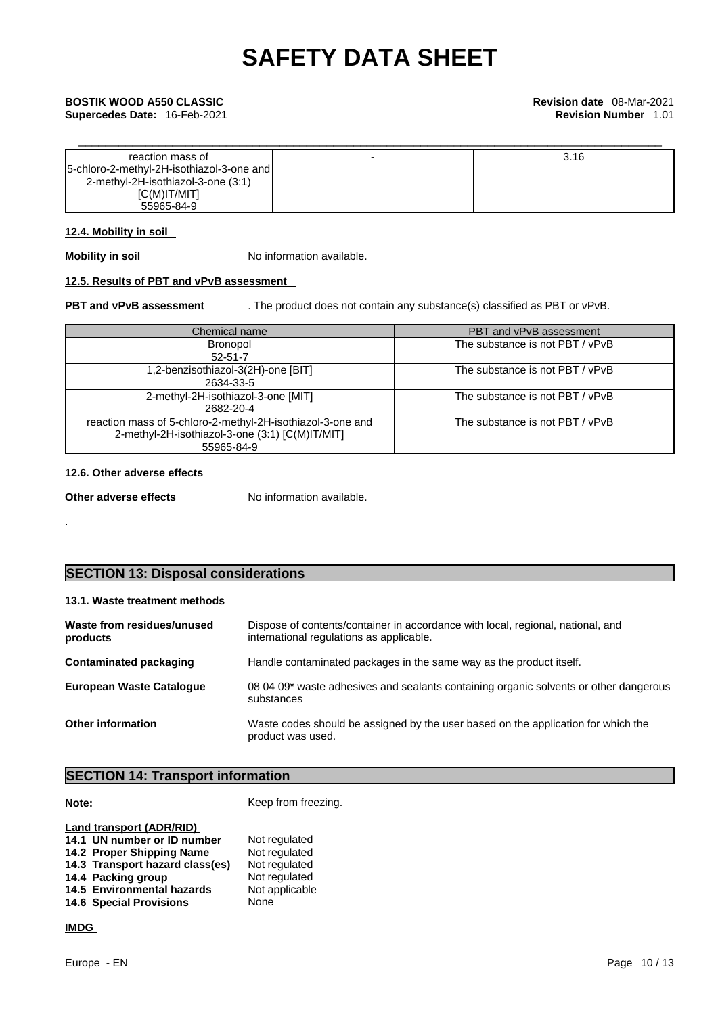\_\_\_\_\_\_\_\_\_\_\_\_\_\_\_\_\_\_\_\_\_\_\_\_\_\_\_\_\_\_\_\_\_\_\_\_\_\_\_\_\_\_\_\_\_\_\_\_\_\_\_\_\_\_\_\_\_\_\_\_\_\_\_\_\_\_\_\_\_\_\_\_\_\_\_\_\_\_\_\_\_\_\_\_\_\_\_ **BOSTIK WOOD A550 CLASSIC Revision date** 08-Mar-2021 **Supercedes Date:** 16-Feb-2021 **Revision Number** 1.01

| reaction mass of                            | 3.16 |
|---------------------------------------------|------|
| [5-chloro-2-methyl-2H-isothiazol-3-one and] |      |
| 2-methyl-2H-isothiazol-3-one (3:1)          |      |
| [C(M)IT/MIT]                                |      |
| 55965-84-9                                  |      |

### **12.4. Mobility in soil**

**Mobility in soil** No information available.

### **12.5. Results of PBT and vPvB assessment**

**PBT and vPvB assessment** . The product does not contain any substance(s) classified as PBT or vPvB.

| Chemical name                                                                                                               | PBT and vPvB assessment         |
|-----------------------------------------------------------------------------------------------------------------------------|---------------------------------|
| <b>Bronopol</b><br>$52 - 51 - 7$                                                                                            | The substance is not PBT / vPvB |
| 1,2-benzisothiazol-3(2H)-one [BIT]<br>2634-33-5                                                                             | The substance is not PBT / vPvB |
| 2-methyl-2H-isothiazol-3-one [MIT]<br>2682-20-4                                                                             | The substance is not PBT / vPvB |
| reaction mass of 5-chloro-2-methyl-2H-isothiazol-3-one and<br>2-methyl-2H-isothiazol-3-one (3:1) [C(M)IT/MIT]<br>55965-84-9 | The substance is not PBT / vPvB |

### **12.6. Other adverse effects**

**Other adverse effects** No information available.

.

### **SECTION 13: Disposal considerations**

### **13.1. Waste treatment methods**

| Waste from residues/unused<br>products | Dispose of contents/container in accordance with local, regional, national, and<br>international regulations as applicable. |
|----------------------------------------|-----------------------------------------------------------------------------------------------------------------------------|
| Contaminated packaging                 | Handle contaminated packages in the same way as the product itself.                                                         |
| <b>European Waste Cataloque</b>        | 08 04 09* waste adhesives and sealants containing organic solvents or other dangerous<br>substances                         |
| <b>Other information</b>               | Waste codes should be assigned by the user based on the application for which the<br>product was used.                      |

### **SECTION 14: Transport information**

**Note: Keep from freezing.** 

| Land transport (ADR/RID)        |                |
|---------------------------------|----------------|
| 14.1 UN number or ID number     | Not regulated  |
| 14.2 Proper Shipping Name       | Not regulated  |
| 14.3 Transport hazard class(es) | Not regulated  |
| 14.4 Packing group              | Not regulated  |
| 14.5 Environmental hazards      | Not applicable |
| <b>14.6 Special Provisions</b>  | None           |
|                                 |                |

### **IMDG**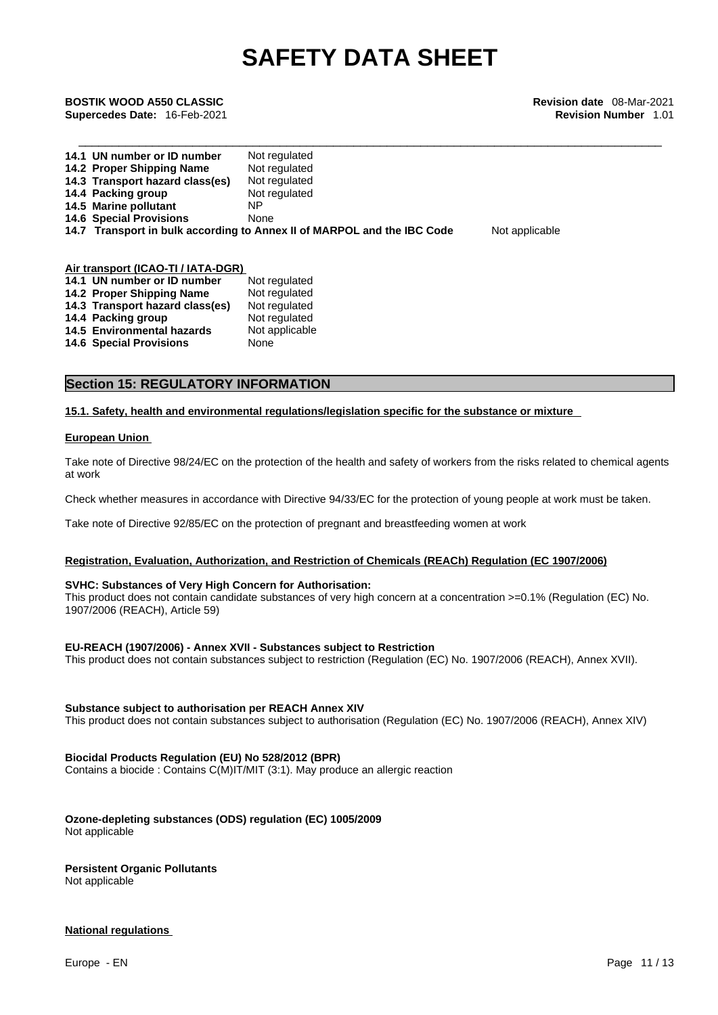\_\_\_\_\_\_\_\_\_\_\_\_\_\_\_\_\_\_\_\_\_\_\_\_\_\_\_\_\_\_\_\_\_\_\_\_\_\_\_\_\_\_\_\_\_\_\_\_\_\_\_\_\_\_\_\_\_\_\_\_\_\_\_\_\_\_\_\_\_\_\_\_\_\_\_\_\_\_\_\_\_\_\_\_\_\_\_ **BOSTIK WOOD A550 CLASSIC Revision date** 08-Mar-2021 **Supercedes Date:** 16-Feb-2021 **Revision Number** 1.01

| 14.1 UN number or ID number     | Not regulated                                                           |                |
|---------------------------------|-------------------------------------------------------------------------|----------------|
| 14.2 Proper Shipping Name       | Not regulated                                                           |                |
| 14.3 Transport hazard class(es) | Not regulated                                                           |                |
| 14.4 Packing group              | Not regulated                                                           |                |
| 14.5 Marine pollutant           | ΝP                                                                      |                |
| <b>14.6 Special Provisions</b>  | None                                                                    |                |
|                                 | 14.7 Transport in bulk according to Annex II of MARPOL and the IBC Code | Not applicable |
|                                 |                                                                         |                |
|                                 |                                                                         |                |

### **Air transport (ICAO-TI / IATA-DGR)**

| 14.1 UN number or ID number     | Not regulated  |
|---------------------------------|----------------|
| 14.2 Proper Shipping Name       | Not regulated  |
| 14.3 Transport hazard class(es) | Not regulated  |
| 14.4 Packing group              | Not regulated  |
| 14.5 Environmental hazards      | Not applicable |
| <b>14.6 Special Provisions</b>  | None           |

### **Section 15: REGULATORY INFORMATION**

### **15.1. Safety, health and environmental regulations/legislation specific for the substance or mixture**

### **European Union**

Take note of Directive 98/24/EC on the protection of the health and safety of workers from the risks related to chemical agents at work

Check whether measures in accordance with Directive 94/33/EC for the protection of young people at work must be taken.

Take note of Directive 92/85/EC on the protection of pregnant and breastfeeding women at work

### **Registration, Evaluation, Authorization, and Restriction of Chemicals (REACh) Regulation (EC 1907/2006)**

### **SVHC: Substances of Very High Concern for Authorisation:**

This product does not contain candidate substances of very high concern at a concentration >=0.1% (Regulation (EC) No. 1907/2006 (REACH), Article 59)

### **EU-REACH (1907/2006) - Annex XVII - Substances subject to Restriction**

This product does not contain substances subject to restriction (Regulation (EC) No. 1907/2006 (REACH), Annex XVII).

### **Substance subject to authorisation per REACH Annex XIV**

This product does not contain substances subject to authorisation (Regulation (EC) No. 1907/2006 (REACH), Annex XIV)

### **Biocidal Products Regulation (EU) No 528/2012 (BPR)**

Contains a biocide : Contains C(M)IT/MIT (3:1). May produce an allergic reaction

### **Ozone-depleting substances (ODS) regulation (EC) 1005/2009**

Not applicable

### **Persistent Organic Pollutants**

Not applicable

### **National regulations**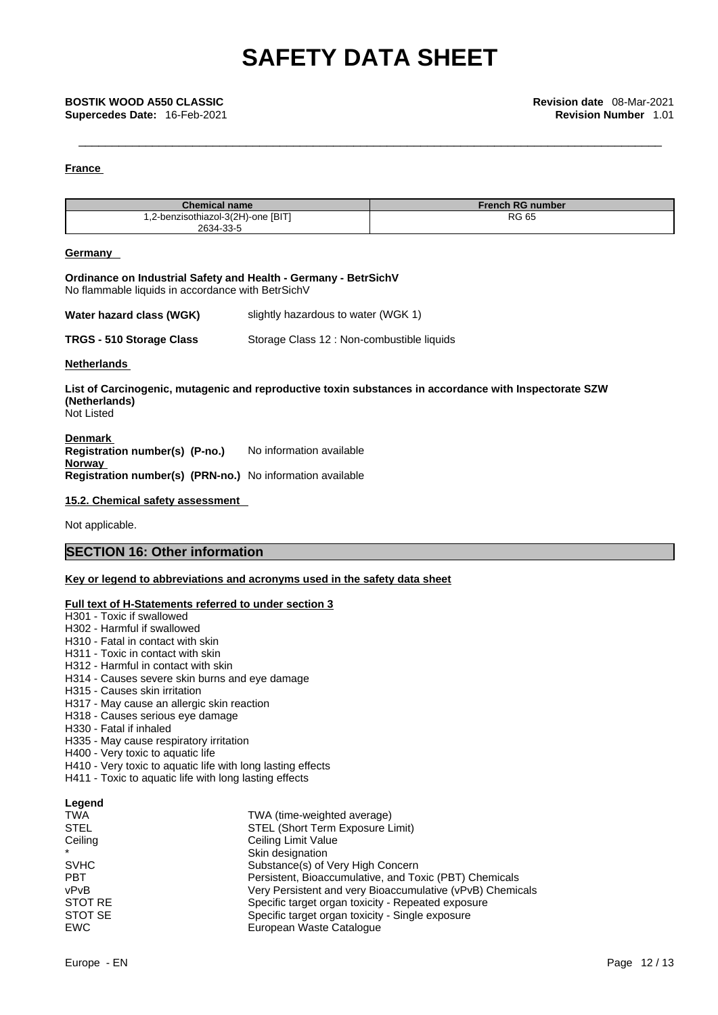### **France**

| <b>Chemical name</b>               | <b>French RG number</b> |
|------------------------------------|-------------------------|
| 1,2-benzisothiazol-3(2H)-one [BIT] | <b>RG 65</b>            |
| 2634-33-5                          |                         |

### **Germany**

### **Ordinance on Industrial Safety and Health - Germany - BetrSichV** No flammable liquids in accordance with BetrSichV

| Water hazard class (WGK) | slightly hazardous to water (WGK 1) |  |
|--------------------------|-------------------------------------|--|
|--------------------------|-------------------------------------|--|

**TRGS - 510 Storage Class** Storage Class 12 : Non-combustible liquids

### **Netherlands**

**List of Carcinogenic, mutagenic and reproductive toxin substances in accordance with Inspectorate SZW (Netherlands)** Not Listed

**Denmark Registration number(s) (P-no.)** No information available **Norway Registration number(s) (PRN-no.)** No information available

### **15.2. Chemical safety assessment**

Not applicable.

### **SECTION 16: Other information**

### **Key or legend to abbreviations and acronyms used in the safety data sheet**

### **Full text of H-Statements referred to under section 3**

| H301 - Toxic if swallowed                                   |                        |
|-------------------------------------------------------------|------------------------|
| H302 - Harmful if swallowed                                 |                        |
| H310 - Fatal in contact with skin                           |                        |
| H311 - Toxic in contact with skin                           |                        |
| H312 - Harmful in contact with skin                         |                        |
| H314 - Causes severe skin burns and eye damage              |                        |
| H315 - Causes skin irritation                               |                        |
| H317 - May cause an allergic skin reaction                  |                        |
| H318 - Causes serious eye damage                            |                        |
| H330 - Fatal if inhaled                                     |                        |
| H335 - May cause respiratory irritation                     |                        |
| H400 - Very toxic to aquatic life                           |                        |
| H410 - Very toxic to aquatic life with long lasting effects |                        |
| H411 - Toxic to aquatic life with long lasting effects      |                        |
| Legend                                                      |                        |
| TWA                                                         | TWA (time-weighted ave |
| STEL                                                        | STEL (Short Term Expo  |
| ~ …                                                         | .                      |

| TWA         | TWA (time-weighted average)                               |  |
|-------------|-----------------------------------------------------------|--|
| <b>STEL</b> | STEL (Short Term Exposure Limit)                          |  |
| Ceiling     | Ceiling Limit Value                                       |  |
| $\star$     | Skin designation                                          |  |
| <b>SVHC</b> | Substance(s) of Very High Concern                         |  |
| <b>PBT</b>  | Persistent, Bioaccumulative, and Toxic (PBT) Chemicals    |  |
| vPvB        | Very Persistent and very Bioaccumulative (vPvB) Chemicals |  |
| STOT RE     | Specific target organ toxicity - Repeated exposure        |  |
| STOT SE     | Specific target organ toxicity - Single exposure          |  |
| <b>EWC</b>  | European Waste Catalogue                                  |  |
|             |                                                           |  |